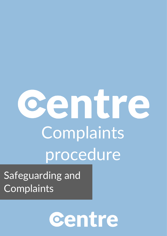## entr Complaints procedure

Safeguarding and **Complaints** 

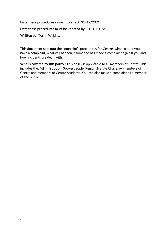## **Date these procedures came into effect:** 31/12/2021

## **Date these procedures must be updated by:** 01/01/2023

**Written by:** Torrin Wilkins.

**This document sets out:** the complaint's procedures for Centre, what to do if you have a complaint, what will happen if someone has made a complaint against you and how incidents are dealt with.

**Who is covered by this policy?** This policy is applicable to all members of Centre. This includes the: Administration, Spokespeople, Regional/State Chairs, ex-members of Centre and members of Centre Students. You can also make a complaint as a member of the public.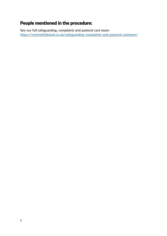## People mentioned in the procedure:

See our full safeguarding, complaints and pastoral care team: <https://centrethinktank.co.uk/safeguarding-complaints-and-pastoral-careteam/>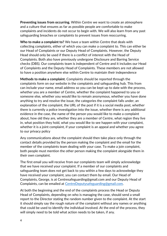**Preventing issues from occurring.** Within Centre we want to create an atmosphere and a culture that ensures as far as possible people are comfortable to make complaints and incidents do not occur to begin with. We will also learn from any past safeguarding breaches or complaints to prevent issues from reoccurring.

**Who to make a complaint to?** We have a team within Centre that deals with collecting complaints, either of which you can make a complaint to. This can either be our Head of Complaints or our Deputy Head of Complaints. However, the Deputy Head should only be used if there is a conflict of interest with the Head of Complaints. Both also have previously undergone Disclosure and Barring Service checks (DBS). Our complaints team is independent of Centre and it includes our Head of Complaints and the Deputy Head of Complaints. These members are not allowed to have a position anywhere else within Centre to maintain their independence

**Methods to make a complaint.** Complaints should be reported through the complaints form on our website in the complaints and safeguarding hub. This from can include your name, email address so you can be kept up to date with the process, whether you are a member of Centre, whether the complaint happened to you or someone else, whether you would like to remain anonymous, whether you have done anything to try and resolve the issue, the categories the complaint falls under, an explanation of the complaint, the URL of the post if it is a social media post, whether there is currently a police investigation into the issue, whether there is any additional evidence in the case, the name of the person you would like to make a complaint about, how old they are, whether they are a member of Centre, what region they live in, what position they hold, what you would like to see happen with your complaint, whether it is a joint complaint, if your complaint is an appeal and whether you agree to our privacy policy

Any communications about the complaint should then take place only through the contact details provided by the person making the complaint and the email for the member of the complaints team dealing with your case. To make a join complaint, both people must mention the other person making the complaint alongside them in their own complaint.

The first email you will receive from our complaints team will simply acknowledge that we have received your complaint. If a member of our complaints and safeguarding team does not get back to you within a few days to acknowledge they have received your complaint, you can contact them by email. Our Head of Complaints, George, is at Centresafeguarding@gmail.com and our Deputy Head of Complaints, can be emailed at [CentreDeputysafeguarding@gmail.com.](mailto:CentreDeputysafeguarding@gmail.com)

At both the beginning and the end of the complaints process the Head or Deputy Head of Complaints, depending on who is managing the case, should send a small report to the Director stating the random number given to the complaint. At the start it should simply say the rough nature of the complaint without any names or anything that could be used to identify the individual involved. At the end of the process, they will simply need to be told what action needs to be taken, if any.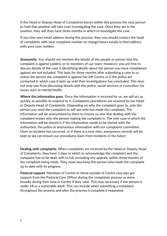If the Head or Deputy Head of Complaints leaves within this process the next person to hold that position will take over investigating the case. Once they are in the position, they will then have three months in which to investigate the case.

If you lose your email address during this process, then you should contact the head of complaints with your complaint number to change future emails to that address with your case number.

**Anonymity.** You should not mention the details of the people or person that the complaint is against publicly or to members of our team. However, you are free to discuss details of the case if identifying details about the person you have complained against are not included. This lasts for three months after submitting a case to us unless the person the complaint is against has left Centre or if the police are contacted in which case it lasts up until their investigations has concluded. This does not stop you from discussing details with the police, social services or councillors for issues such as mental health.

**Where this information goes.** Once the information is received by us, we will act as quickly as possible to respond to it. Complaints procedures are enacted by our Head or Deputy Head of Complaints. Depending on who the complaint goes to, only the person you send the complaint to will see who has made the complaint. The information will be anonymised by them to ensure no one else dealing with the complaint knows who the person making the complaint is. The only case in which the information will be shared is if the information needs to be shared with the authorities, the police or anonymous information with our complaints committee. Once an incident has occurred, or if there is a near miss, anonymous records will be kept so we can ensure our procedures learn from incidents in the future

**Dealing with complaints.** When complaints are received by the Head or Deputy Head of Complaints, they have 3 days in which to acknowledge the complaint and the complaint has to be dealt with in full, excluding any appeals, within three months of the complaint being made. They must also keep the person who made the complaint up to date with its progress.

**Pastoral support.** Members of Centre or those outside of Centre may also get support from the Pastoral Care Officer during the complaints process or more broadly during their time in Centre if they wish. This may necessary if the person is under 18 or a vulnerable adult. This can include when submitting a complaint, throughout the process and after the process is complete if requested.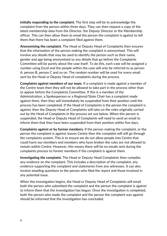**Initially responding to the complaint.** The first step will be to acknowledge the complaint from the person within three days. They can then request a copy of the latest membership data from the Director, the Deputy Director or the Membership officer. This can then allow them to email the person the complaint is against to tell them that there has been a complaint filed against them.

**Anonymising the complaint.** The Head or Deputy Head of Complaints then ensures that the information of the person making the complaint is anonymised. This will involve any details that may be used to identify the person such as their name, gender and age being anonymised so any details that go before the Complaints Committee will be purely about the case itself. To do this, each case will be assigned a number using Excel and the people within the case will only be referred to as person A, person B, person C and so on. The random number will be used for every email sent by the Head or Deputy Head of complaints during the process.

**Complaints against members of our team.** If a complaint is made against a member of the Centre team then they will not be allowed to take part in the process other than to appear before the Complaints Committee. If this is a member of the Administration, a Spokesperson or a Regional/State Chair has a complaint made against them, then they will immediately be suspended from their position until the process has been completed. If the Head of Complaints is the person the complaint is against, then the Deputy Head of Complaints will take on the roles originally carried out by the Head of Complaints in the process set out below. When this person is suspended, the Head or Deputy Head of Complaints will need to send an email to inform them that they have been suspended from their position within five days.

**Complaints against or by former members.** If the person making the complaint, or the person the complaint is against, leaves Centre then the complaint will still go through the complaints system. This is to ensure we do not allow people into Centre that could harm our members and members who have broken the rules are not allowed to remain within Centre. However, this means there will be no emails sent during the complaints process to former members if the complaint is against them.

**Investigating the complaint.** The Head or Deputy Head Complaints then compiles any evidence on the complaint. This includes a description of the complaint, any evidence supporting the complaint and statements from any witnesses. It can also involve emailing questions to the person who filed the report and those involved in any potential issue.

When the investigation begins, the Head or Deputy Head of Complaints will email both the person who submitted the complaint and the person the complaint is against to inform them that the investigation has begun. Once the investigation is completed, both the person who made the complaint and the person the complaint was against should be informed that the investigation has concluded.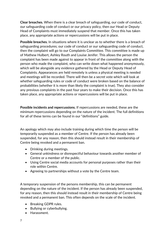**Clear breaches.** When there is a clear breach of safeguarding, our code of conduct, our safeguarding code of conduct or our privacy policy, then our Head or Deputy Head of Complaints must immediately suspend that member. Once this has taken place, any appropriate actions or repercussions will be put in place.

**Possible breaches.** In situations where it is unclear as to whether there is a breach of safeguarding procedures; our code of conduct or our safeguarding code of conduct, then the complaint will go to our Complaints Committee. This committee is made up of Mathew Hulbert, Ashley Routh and Louise Jenifer. This allows the person the complaint has been made against to appear in front of the committee along with the person who made the complaint, who can write down what happened anonymously, which will be alongside any evidence gathered by the Head or Deputy Head of Complaints. Appearances are held remotely is unless a physical meeting is needed and meetings will be recorded. There will then be a secret vote which will look at whether safeguarding rules or code of conduct were broken based on the balance of probabilities (whether it is more than likely the complaint is true). They also consider any previous complaints in the past four years to make their decision. Once this has taken place, any appropriate actions or repercussions will be put in place.

**Possible incidents and repercussions.** If repercussions are needed, these are the minimum repercussions depending on the nature of the incident. The full definitions for all of these terms can be found in our "definitions" guide.

An apology which may also include training during which time the person will be temporarily suspended as a member of Centre. If the person has already been suspended, for any reason, then this should instead result in their membership of Centre being revoked and a permanent ban.

- Drinking during meetings.
- General unkindness or disrespectful behaviour towards another member of Centre or a member of the public.
- Using Centre social media accounts for personal purposes rather than their role within Centre.
- Agreeing to partnerships without a vote by the Centre team.

A temporary suspension of the persons membership, this can be permanent depending on the nature of the incident. If the person has already been suspended, for any reason, then this should instead result in their membership of Centre being revoked and a permanent ban. This often depends on the scale of the incident.

- Breaking GDPR rules.
- Bullying or cyberbullying.
- Harassment.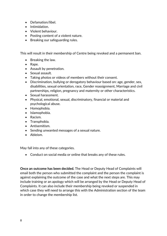- Defamation/libel.
- Intimidation.
- Violent behaviour.
- Posting content of a violent nature.
- Breaking our safeguarding rules.

This will result in their membership of Centre being revoked and a permanent ban.

- Breaking the law.
- Rape.
- Assault by penetration.
- Sexual assault.
- Taking photos or videos of members without their consent.
- Discrimination, bullying or derogatory behaviour based on: age, gender, sex, disabilities, sexual orientation, race, Gender reassignment, Marriage and civil partnerships, religion, pregnancy and maternity or other characteristics.
- Sexual harassment.
- Physical, emotional, sexual, discriminatory, financial or material and psychological abuse.
- Homophobia.
- Islamophobia.
- Racism.
- Transphobia.
- Antisemitism.
- Sending unwanted messages of a sexual nature.
- Ableism.

May fall into any of these categories.

• Conduct on social media or online that breaks any of these rules.

**Once an outcome has been decided.** The Head or Deputy Head of Complaints will email both the person who submitted the complaint and the person the complaint is against explaining the outcome of the case and what the next steps are. This may include training or an apology which will be arranged by the Head or Deputy Head of Complaints. It can also include their membership being revoked or suspended in which case they will need to arrange this with the Administration section of the team in order to change the membership list.